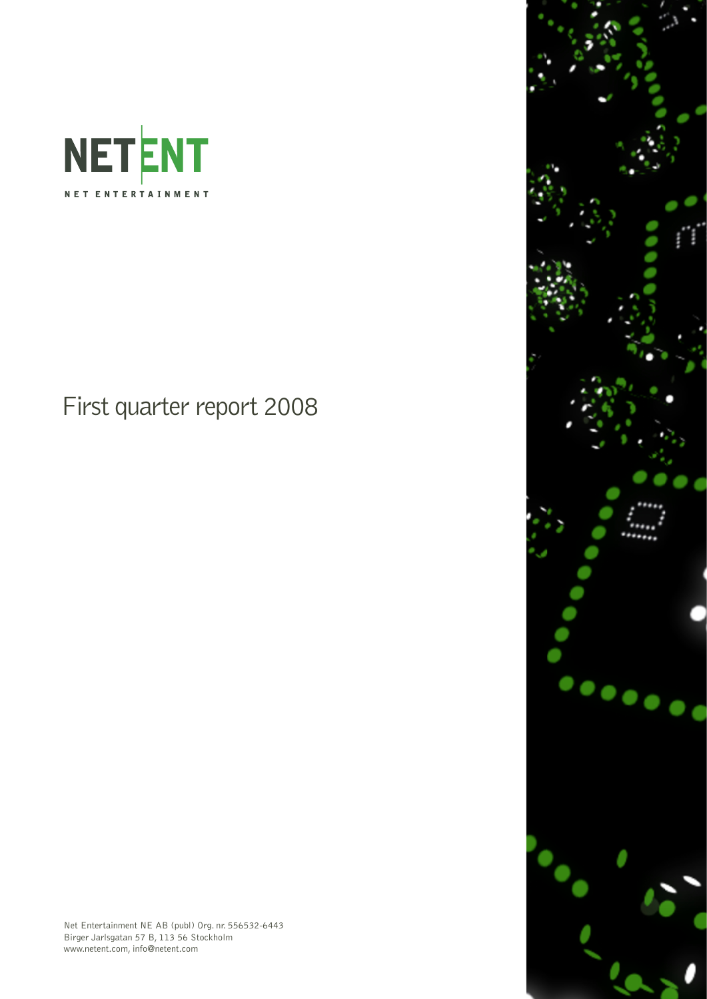

First quarter report 2008



Net Entertainment NE AB (publ) Org. nr. 556532-6443 Birger Jarlsgatan 57 B, 113 56 Stockholm www.netent.com, info@netent.com

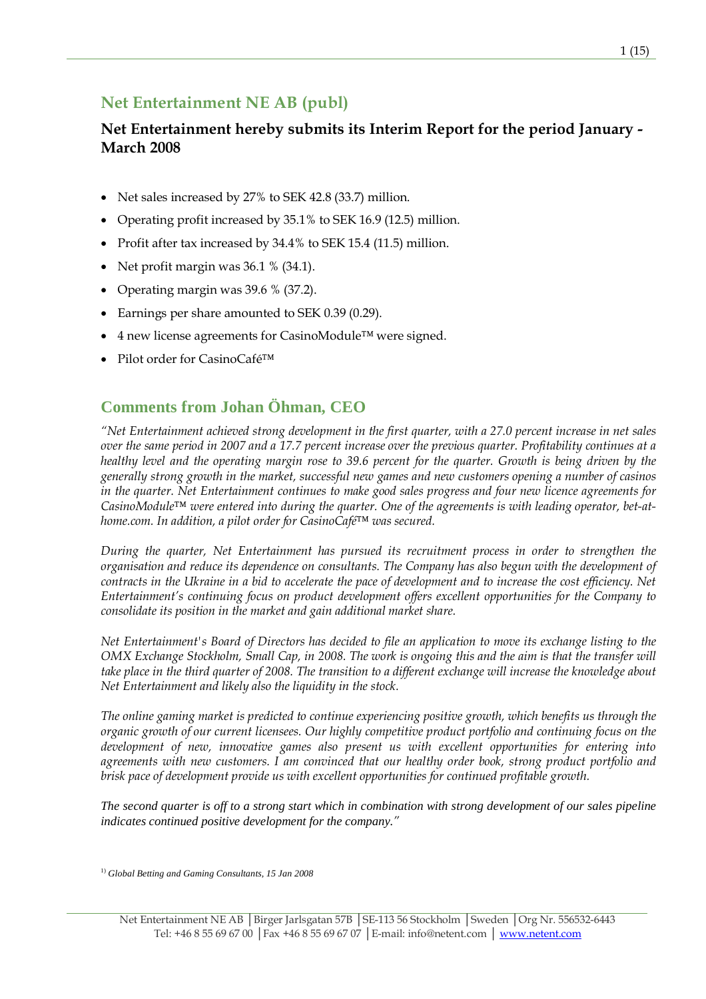# Net Entertainment NE AB (publ)

## Net Entertainment hereby submits its Interim Report for the period January - March 2008

- Net sales increased by 27% to SEK 42.8 (33.7) million.
- Operating profit increased by 35.1% to SEK 16.9 (12.5) million.
- Profit after tax increased by 34.4% to SEK 15.4 (11.5) million.
- Net profit margin was 36.1 % (34.1).
- Operating margin was 39.6 % (37.2).
- Earnings per share amounted to SEK 0.39 (0.29).
- 4 new license agreements for CasinoModule™ were signed.
- Pilot order for CasinoCafé™

## **Comments from Johan Öhman, CEO**

"Net Entertainment achieved strong development in the first quarter, with a 27.0 percent increase in net sales over the same period in 2007 and a 17.7 percent increase over the previous quarter. Profitability continues at a healthy level and the operating margin rose to 39.6 percent for the quarter. Growth is being driven by the generally strong growth in the market, successful new games and new customers opening a number of casinos in the quarter. Net Entertainment continues to make good sales progress and four new licence agreements for CasinoModule™ were entered into during the quarter. One of the agreements is with leading operator, bet-athome.com. In addition, a pilot order for CasinoCafé™ was secured.

During the quarter, Net Entertainment has pursued its recruitment process in order to strengthen the organisation and reduce its dependence on consultants. The Company has also begun with the development of contracts in the Ukraine in a bid to accelerate the pace of development and to increase the cost efficiency. Net Entertainment's continuing focus on product development offers excellent opportunities for the Company to consolidate its position in the market and gain additional market share.

Net Entertainment's Board of Directors has decided to file an application to move its exchange listing to the OMX Exchange Stockholm, Small Cap, in 2008. The work is ongoing this and the aim is that the transfer will take place in the third quarter of 2008. The transition to a different exchange will increase the knowledge about Net Entertainment and likely also the liquidity in the stock.

The online gaming market is predicted to continue experiencing positive growth, which benefits us through the organic growth of our current licensees. Our highly competitive product portfolio and continuing focus on the development of new, innovative games also present us with excellent opportunities for entering into agreements with new customers. I am convinced that our healthy order book, strong product portfolio and brisk pace of development provide us with excellent opportunities for continued profitable growth.

*The second quarter is off to a strong start which in combination with strong development of our sales pipeline indicates continued positive development for the company.*"

1) *Global Betting and Gaming Consultants, 15 Jan 2008*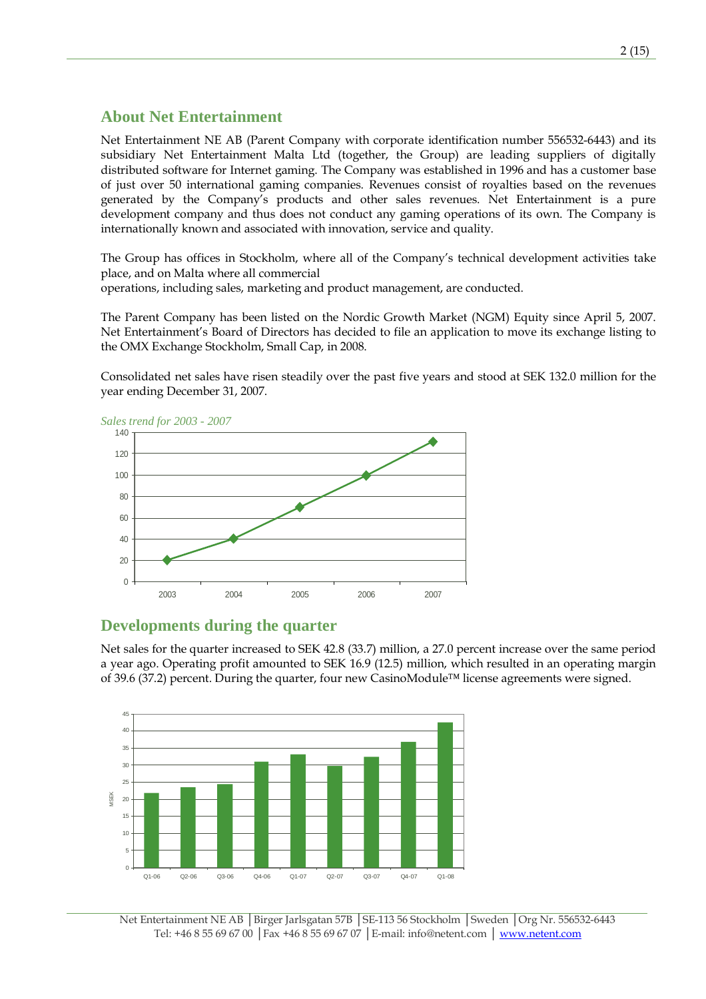### **About Net Entertainment**

Net Entertainment NE AB (Parent Company with corporate identification number 556532-6443) and its subsidiary Net Entertainment Malta Ltd (together, the Group) are leading suppliers of digitally distributed software for Internet gaming. The Company was established in 1996 and has a customer base of just over 50 international gaming companies. Revenues consist of royalties based on the revenues generated by the Company's products and other sales revenues. Net Entertainment is a pure development company and thus does not conduct any gaming operations of its own. The Company is internationally known and associated with innovation, service and quality.

The Group has offices in Stockholm, where all of the Company's technical development activities take place, and on Malta where all commercial

operations, including sales, marketing and product management, are conducted.

The Parent Company has been listed on the Nordic Growth Market (NGM) Equity since April 5, 2007. Net Entertainment's Board of Directors has decided to file an application to move its exchange listing to the OMX Exchange Stockholm, Small Cap, in 2008.

Consolidated net sales have risen steadily over the past five years and stood at SEK 132.0 million for the year ending December 31, 2007.



### **Developments during the quarter**

Net sales for the quarter increased to SEK 42.8 (33.7) million, a 27.0 percent increase over the same period a year ago. Operating profit amounted to SEK 16.9 (12.5) million, which resulted in an operating margin of 39.6 (37.2) percent. During the quarter, four new CasinoModule™ license agreements were signed.

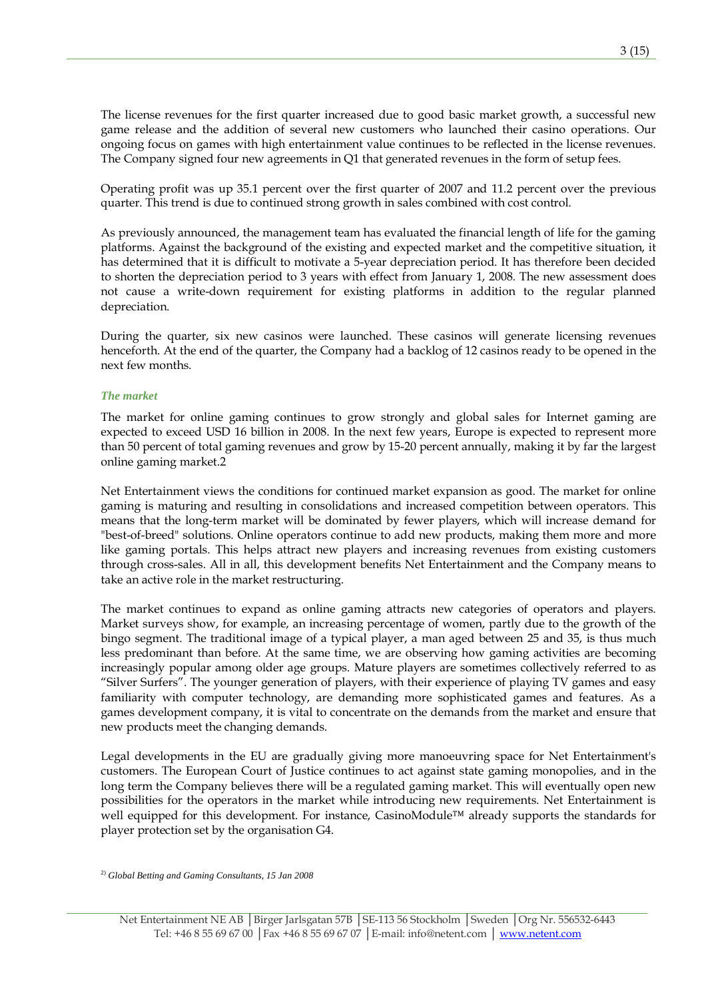The license revenues for the first quarter increased due to good basic market growth, a successful new game release and the addition of several new customers who launched their casino operations. Our ongoing focus on games with high entertainment value continues to be reflected in the license revenues. The Company signed four new agreements in Q1 that generated revenues in the form of setup fees.

Operating profit was up 35.1 percent over the first quarter of 2007 and 11.2 percent over the previous quarter. This trend is due to continued strong growth in sales combined with cost control.

As previously announced, the management team has evaluated the financial length of life for the gaming platforms. Against the background of the existing and expected market and the competitive situation, it has determined that it is difficult to motivate a 5-year depreciation period. It has therefore been decided to shorten the depreciation period to 3 years with effect from January 1, 2008. The new assessment does not cause a write-down requirement for existing platforms in addition to the regular planned depreciation.

During the quarter, six new casinos were launched. These casinos will generate licensing revenues henceforth. At the end of the quarter, the Company had a backlog of 12 casinos ready to be opened in the next few months.

#### *The market*

The market for online gaming continues to grow strongly and global sales for Internet gaming are expected to exceed USD 16 billion in 2008. In the next few years, Europe is expected to represent more than 50 percent of total gaming revenues and grow by 15-20 percent annually, making it by far the largest online gaming market.2

Net Entertainment views the conditions for continued market expansion as good. The market for online gaming is maturing and resulting in consolidations and increased competition between operators. This means that the long-term market will be dominated by fewer players, which will increase demand for "best-of-breed" solutions. Online operators continue to add new products, making them more and more like gaming portals. This helps attract new players and increasing revenues from existing customers through cross-sales. All in all, this development benefits Net Entertainment and the Company means to take an active role in the market restructuring.

The market continues to expand as online gaming attracts new categories of operators and players. Market surveys show, for example, an increasing percentage of women, partly due to the growth of the bingo segment. The traditional image of a typical player, a man aged between 25 and 35, is thus much less predominant than before. At the same time, we are observing how gaming activities are becoming increasingly popular among older age groups. Mature players are sometimes collectively referred to as "Silver Surfers". The younger generation of players, with their experience of playing TV games and easy familiarity with computer technology, are demanding more sophisticated games and features. As a games development company, it is vital to concentrate on the demands from the market and ensure that new products meet the changing demands.

Legal developments in the EU are gradually giving more manoeuvring space for Net Entertainment's customers. The European Court of Justice continues to act against state gaming monopolies, and in the long term the Company believes there will be a regulated gaming market. This will eventually open new possibilities for the operators in the market while introducing new requirements. Net Entertainment is well equipped for this development. For instance, CasinoModule™ already supports the standards for player protection set by the organisation G4.

2) *Global Betting and Gaming Consultants, 15 Jan 2008*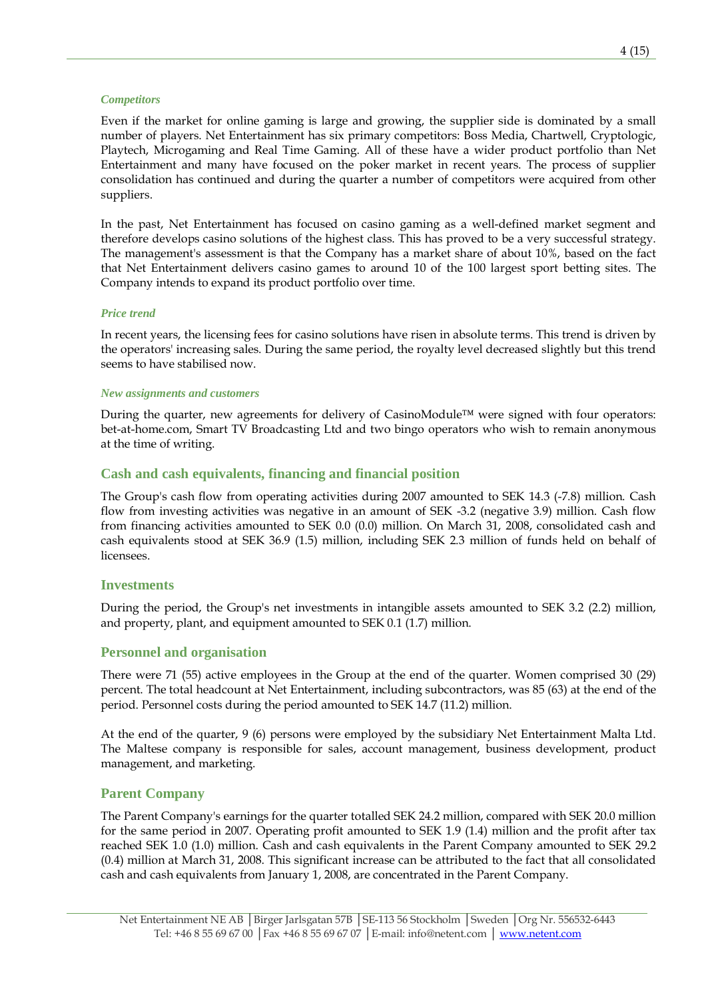#### *Competitors*

Even if the market for online gaming is large and growing, the supplier side is dominated by a small number of players. Net Entertainment has six primary competitors: Boss Media, Chartwell, Cryptologic, Playtech, Microgaming and Real Time Gaming. All of these have a wider product portfolio than Net Entertainment and many have focused on the poker market in recent years. The process of supplier consolidation has continued and during the quarter a number of competitors were acquired from other suppliers.

In the past, Net Entertainment has focused on casino gaming as a well-defined market segment and therefore develops casino solutions of the highest class. This has proved to be a very successful strategy. The management's assessment is that the Company has a market share of about 10%, based on the fact that Net Entertainment delivers casino games to around 10 of the 100 largest sport betting sites. The Company intends to expand its product portfolio over time.

#### *Price trend*

In recent years, the licensing fees for casino solutions have risen in absolute terms. This trend is driven by the operators' increasing sales. During the same period, the royalty level decreased slightly but this trend seems to have stabilised now.

#### *New assignments and customers*

During the quarter, new agreements for delivery of CasinoModule™ were signed with four operators: bet-at-home.com, Smart TV Broadcasting Ltd and two bingo operators who wish to remain anonymous at the time of writing.

### **Cash and cash equivalents, financing and financial position**

The Group's cash flow from operating activities during 2007 amounted to SEK 14.3 (-7.8) million. Cash flow from investing activities was negative in an amount of SEK -3.2 (negative 3.9) million. Cash flow from financing activities amounted to SEK 0.0 (0.0) million. On March 31, 2008, consolidated cash and cash equivalents stood at SEK 36.9 (1.5) million, including SEK 2.3 million of funds held on behalf of licensees.

### **Investments**

During the period, the Group's net investments in intangible assets amounted to SEK 3.2 (2.2) million, and property, plant, and equipment amounted to SEK 0.1 (1.7) million.

### **Personnel and organisation**

There were 71 (55) active employees in the Group at the end of the quarter. Women comprised 30 (29) percent. The total headcount at Net Entertainment, including subcontractors, was 85 (63) at the end of the period. Personnel costs during the period amounted to SEK 14.7 (11.2) million.

At the end of the quarter, 9 (6) persons were employed by the subsidiary Net Entertainment Malta Ltd. The Maltese company is responsible for sales, account management, business development, product management, and marketing.

### **Parent Company**

The Parent Company's earnings for the quarter totalled SEK 24.2 million, compared with SEK 20.0 million for the same period in 2007. Operating profit amounted to SEK 1.9 (1.4) million and the profit after tax reached SEK 1.0 (1.0) million. Cash and cash equivalents in the Parent Company amounted to SEK 29.2 (0.4) million at March 31, 2008. This significant increase can be attributed to the fact that all consolidated cash and cash equivalents from January 1, 2008, are concentrated in the Parent Company.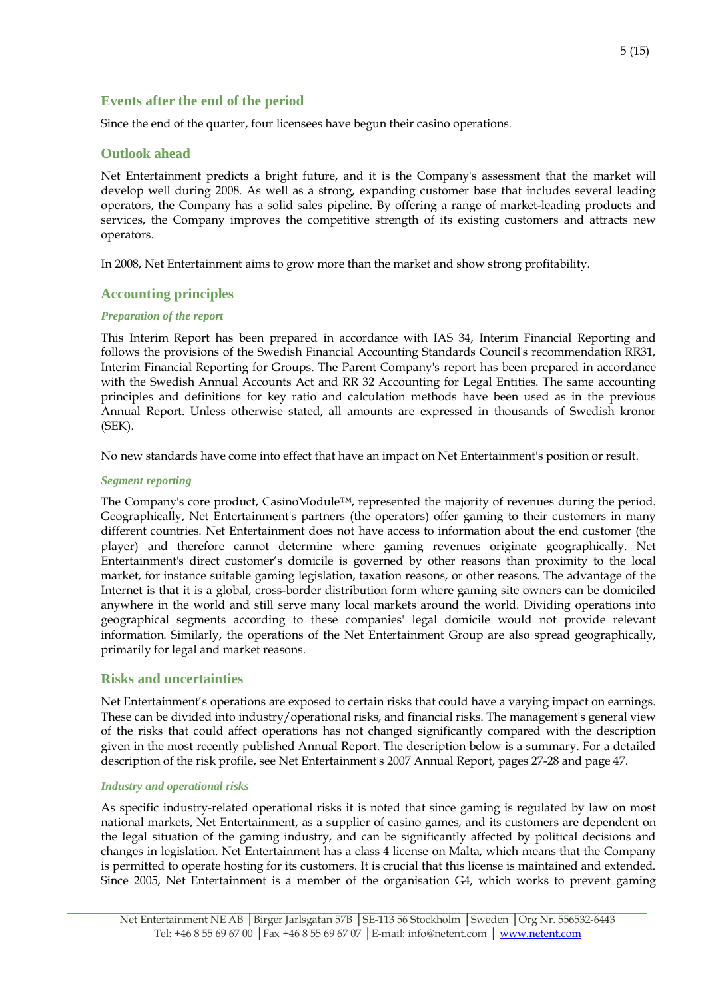### **Events after the end of the period**

Since the end of the quarter, four licensees have begun their casino operations.

### **Outlook ahead**

Net Entertainment predicts a bright future, and it is the Company's assessment that the market will develop well during 2008. As well as a strong, expanding customer base that includes several leading operators, the Company has a solid sales pipeline. By offering a range of market-leading products and services, the Company improves the competitive strength of its existing customers and attracts new operators.

In 2008, Net Entertainment aims to grow more than the market and show strong profitability.

### **Accounting principles**

### *Preparation of the report*

This Interim Report has been prepared in accordance with IAS 34, Interim Financial Reporting and follows the provisions of the Swedish Financial Accounting Standards Council's recommendation RR31, Interim Financial Reporting for Groups. The Parent Company's report has been prepared in accordance with the Swedish Annual Accounts Act and RR 32 Accounting for Legal Entities. The same accounting principles and definitions for key ratio and calculation methods have been used as in the previous Annual Report. Unless otherwise stated, all amounts are expressed in thousands of Swedish kronor (SEK).

No new standards have come into effect that have an impact on Net Entertainment's position or result.

#### *Segment reporting*

The Company's core product, CasinoModule™, represented the majority of revenues during the period. Geographically, Net Entertainment's partners (the operators) offer gaming to their customers in many different countries. Net Entertainment does not have access to information about the end customer (the player) and therefore cannot determine where gaming revenues originate geographically. Net Entertainment's direct customer's domicile is governed by other reasons than proximity to the local market, for instance suitable gaming legislation, taxation reasons, or other reasons. The advantage of the Internet is that it is a global, cross-border distribution form where gaming site owners can be domiciled anywhere in the world and still serve many local markets around the world. Dividing operations into geographical segments according to these companies' legal domicile would not provide relevant information. Similarly, the operations of the Net Entertainment Group are also spread geographically, primarily for legal and market reasons.

### **Risks and uncertainties**

Net Entertainment's operations are exposed to certain risks that could have a varying impact on earnings. These can be divided into industry/operational risks, and financial risks. The management's general view of the risks that could affect operations has not changed significantly compared with the description given in the most recently published Annual Report. The description below is a summary. For a detailed description of the risk profile, see Net Entertainment's 2007 Annual Report, pages 27-28 and page 47.

#### *Industry and operational risks*

As specific industry-related operational risks it is noted that since gaming is regulated by law on most national markets, Net Entertainment, as a supplier of casino games, and its customers are dependent on the legal situation of the gaming industry, and can be significantly affected by political decisions and changes in legislation. Net Entertainment has a class 4 license on Malta, which means that the Company is permitted to operate hosting for its customers. It is crucial that this license is maintained and extended. Since 2005, Net Entertainment is a member of the organisation G4, which works to prevent gaming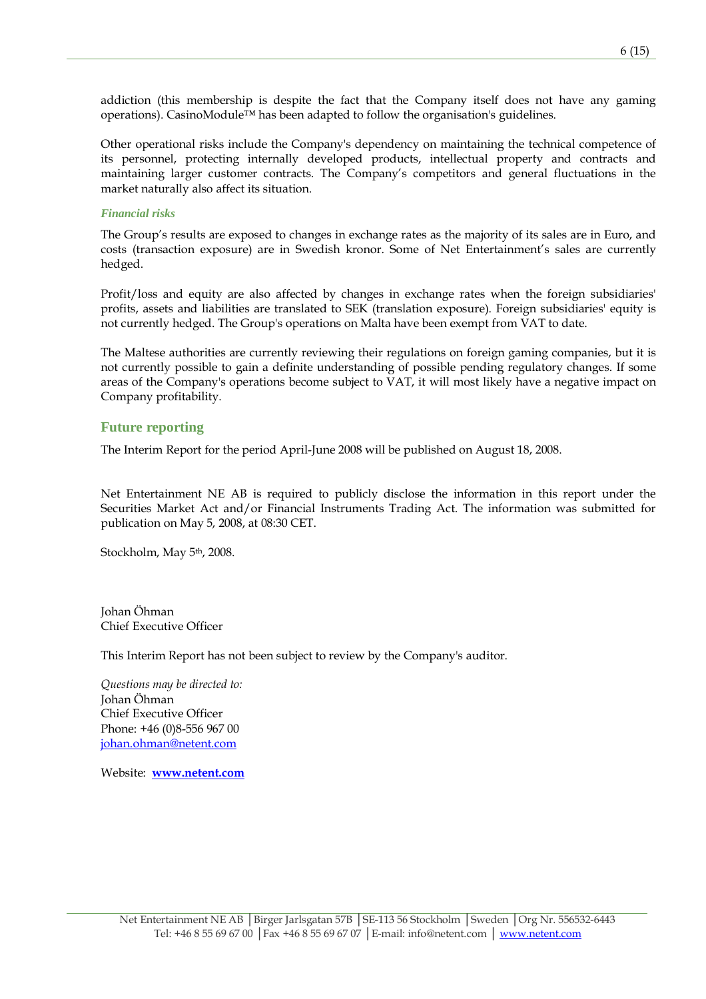addiction (this membership is despite the fact that the Company itself does not have any gaming operations). CasinoModule™ has been adapted to follow the organisation's guidelines.

Other operational risks include the Company's dependency on maintaining the technical competence of its personnel, protecting internally developed products, intellectual property and contracts and maintaining larger customer contracts. The Company's competitors and general fluctuations in the market naturally also affect its situation.

#### *Financial risks*

The Group's results are exposed to changes in exchange rates as the majority of its sales are in Euro, and costs (transaction exposure) are in Swedish kronor. Some of Net Entertainment's sales are currently hedged.

Profit/loss and equity are also affected by changes in exchange rates when the foreign subsidiaries' profits, assets and liabilities are translated to SEK (translation exposure). Foreign subsidiaries' equity is not currently hedged. The Group's operations on Malta have been exempt from VAT to date.

The Maltese authorities are currently reviewing their regulations on foreign gaming companies, but it is not currently possible to gain a definite understanding of possible pending regulatory changes. If some areas of the Company's operations become subject to VAT, it will most likely have a negative impact on Company profitability.

### **Future reporting**

The Interim Report for the period April-June 2008 will be published on August 18, 2008.

Net Entertainment NE AB is required to publicly disclose the information in this report under the Securities Market Act and/or Financial Instruments Trading Act. The information was submitted for publication on May 5, 2008, at 08:30 CET.

Stockholm, May 5<sup>th</sup>, 2008.

Johan Öhman Chief Executive Officer

This Interim Report has not been subject to review by the Company's auditor.

Questions may be directed to: Johan Öhman Chief Executive Officer Phone: +46 (0)8-556 967 00 johan.ohman@netent.com

Website: www.netent.com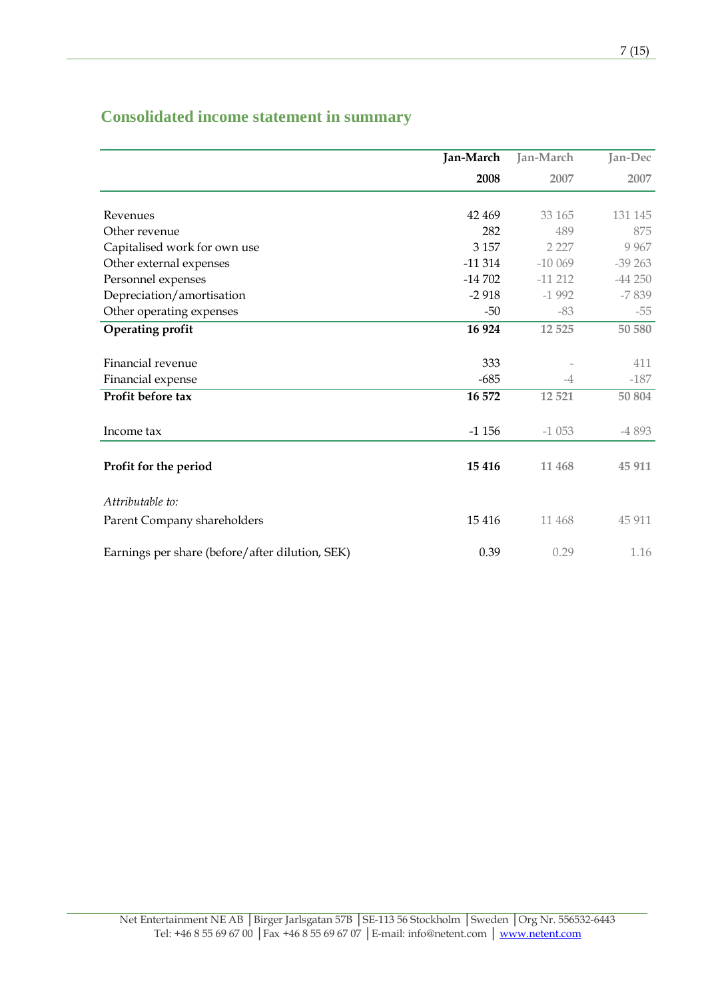# **Consolidated income statement in summary**

|                                                 | Jan-March  | Jan-March | Jan-Dec  |
|-------------------------------------------------|------------|-----------|----------|
|                                                 | 2008       | 2007      | 2007     |
|                                                 |            |           |          |
| Revenues                                        | 42 469     | 33 165    | 131 145  |
| Other revenue                                   | 282        | 489       | 875      |
| Capitalised work for own use                    | 3 1 5 7    | 2 2 2 7   | 9 9 6 7  |
| Other external expenses                         | $-11314$   | $-100069$ | $-39263$ |
| Personnel expenses                              | $-14\,702$ | $-11212$  | $-44250$ |
| Depreciation/amortisation                       | $-2918$    | $-1992$   | $-7839$  |
| Other operating expenses                        | -50        | $-83$     | $-55$    |
| <b>Operating profit</b>                         | 16 924     | 12 5 25   | 50 580   |
| Financial revenue                               | 333        |           | 411      |
| Financial expense                               | $-685$     | $-4$      | $-187$   |
| Profit before tax                               | 16 572     | 12 5 21   | 50 804   |
| Income tax                                      | $-1156$    | $-1053$   | -4 893   |
| Profit for the period                           | 15 4 16    | 11 468    | 45 911   |
| Attributable to:                                |            |           |          |
| Parent Company shareholders                     | 15 4 16    | 11 468    | 45 911   |
| Earnings per share (before/after dilution, SEK) | 0.39       | 0.29      | 1.16     |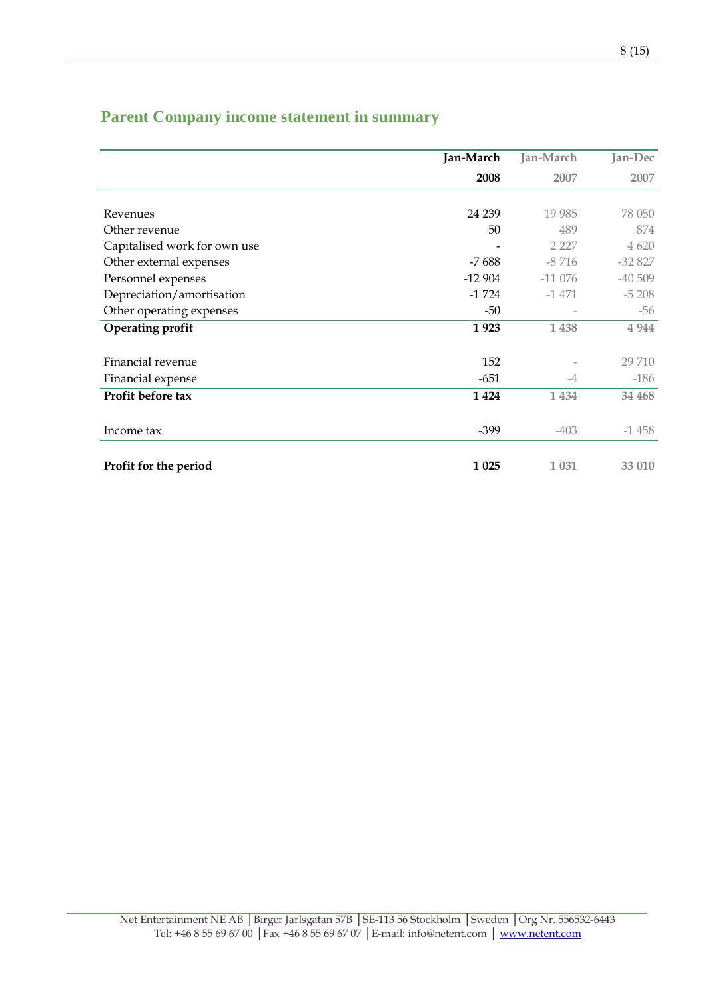| <b>Parent Company income statement in summary</b> |  |  |  |  |
|---------------------------------------------------|--|--|--|--|
|---------------------------------------------------|--|--|--|--|

|                              | Jan-March | Jan-March | Jan-Dec  |
|------------------------------|-----------|-----------|----------|
|                              | 2008      | 2007      | 2007     |
|                              |           |           |          |
| Revenues                     | 24 239    | 19 9 85   | 78 050   |
| Other revenue                | 50        | 489       | 874      |
| Capitalised work for own use |           | 2 2 2 7   | 4 620    |
| Other external expenses      | $-7688$   | $-8716$   | $-32827$ |
| Personnel expenses           | $-12904$  | $-11076$  | $-40509$ |
| Depreciation/amortisation    | $-1724$   | $-1471$   | $-5208$  |
| Other operating expenses     | -50       |           | $-56$    |
| Operating profit             | 1923      | 1 4 3 8   | 4 9 4 4  |
|                              |           |           |          |
| Financial revenue            | 152       |           | 29 710   |
| Financial expense            | $-651$    | $-4$      | $-186$   |
| Profit before tax            | 1 4 2 4   | 1 4 3 4   | 34 468   |
|                              |           |           |          |
| Income tax                   | $-399$    | $-403$    | $-1458$  |
|                              |           |           |          |
| Profit for the period        | 1 0 25    | 1 0 3 1   | 33 010   |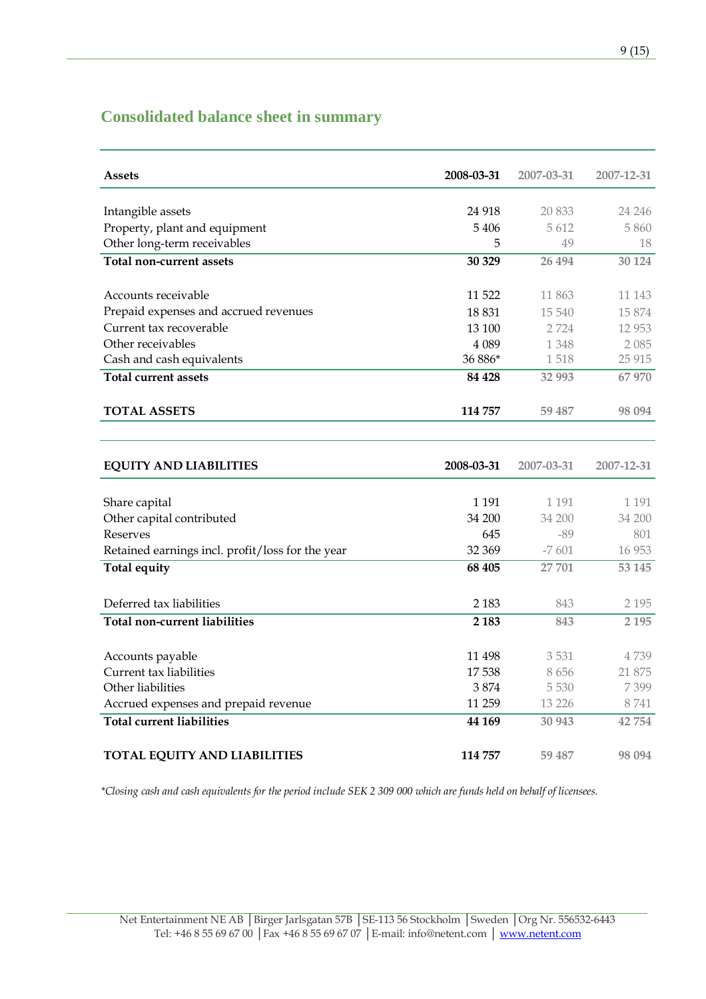# **Consolidated balance sheet in summary**

| <b>Assets</b>                         | 2008-03-31 | 2007-03-31 | 2007-12-31 |
|---------------------------------------|------------|------------|------------|
|                                       |            |            |            |
| Intangible assets                     | 24 918     | 20 833     | 24 24 6    |
| Property, plant and equipment         | 5406       | 5612       | 5860       |
| Other long-term receivables           | 5          | 49         | 18         |
| Total non-current assets              | 30 329     | 26 4 94    | 30 1 24    |
|                                       |            |            |            |
| Accounts receivable                   | 11 522     | 11 863     | 11 143     |
| Prepaid expenses and accrued revenues | 18 831     | 15 540     | 15874      |
| Current tax recoverable               | 13 100     | 2 7 2 4    | 12 953     |
| Other receivables                     | 4 0 8 9    | 1 348      | 2 0 8 5    |
| Cash and cash equivalents             | 36 886*    | 1518       | 25 915     |
| <b>Total current assets</b>           | 84 428     | 32 993     | 67 970     |
|                                       |            |            |            |
| <b>TOTAL ASSETS</b>                   | 114 757    | 59 487     | 98 0 94    |
|                                       |            |            |            |

| <b>EQUITY AND LIABILITIES</b>                    | 2008-03-31 | 2007-03-31 | 2007-12-31 |
|--------------------------------------------------|------------|------------|------------|
|                                                  |            |            |            |
| Share capital                                    | 1 1 9 1    | 1 1 9 1    | 1 1 9 1    |
| Other capital contributed                        | 34 200     | 34 200     | 34 200     |
| Reserves                                         | 645        | -89        | 801        |
| Retained earnings incl. profit/loss for the year | 32 369     | $-7601$    | 16 9 53    |
| Total equity                                     | 68 405     | 27 701     | 53 145     |
|                                                  |            |            |            |
| Deferred tax liabilities                         | 2 1 8 3    | 843        | 2 1 9 5    |
| Total non-current liabilities                    | 2 1 8 3    | 843        | 2 1 9 5    |
|                                                  |            |            |            |
| Accounts payable                                 | 11 498     | 3531       | 4739       |
| Current tax liabilities                          | 17 538     | 8656       | 21 875     |
| Other liabilities                                | 3874       | 5 5 3 0    | 7399       |
| Accrued expenses and prepaid revenue             | 11 259     | 13 2 2 6   | 8741       |
| <b>Total current liabilities</b>                 | 44 169     | 30 943     | 42 754     |
|                                                  |            |            |            |
| <b>TOTAL EQUITY AND LIABILITIES</b>              | 114 757    | 59 487     | 98 0 94    |

\*Closing cash and cash equivalents for the period include SEK 2 309 000 which are funds held on behalf of licensees.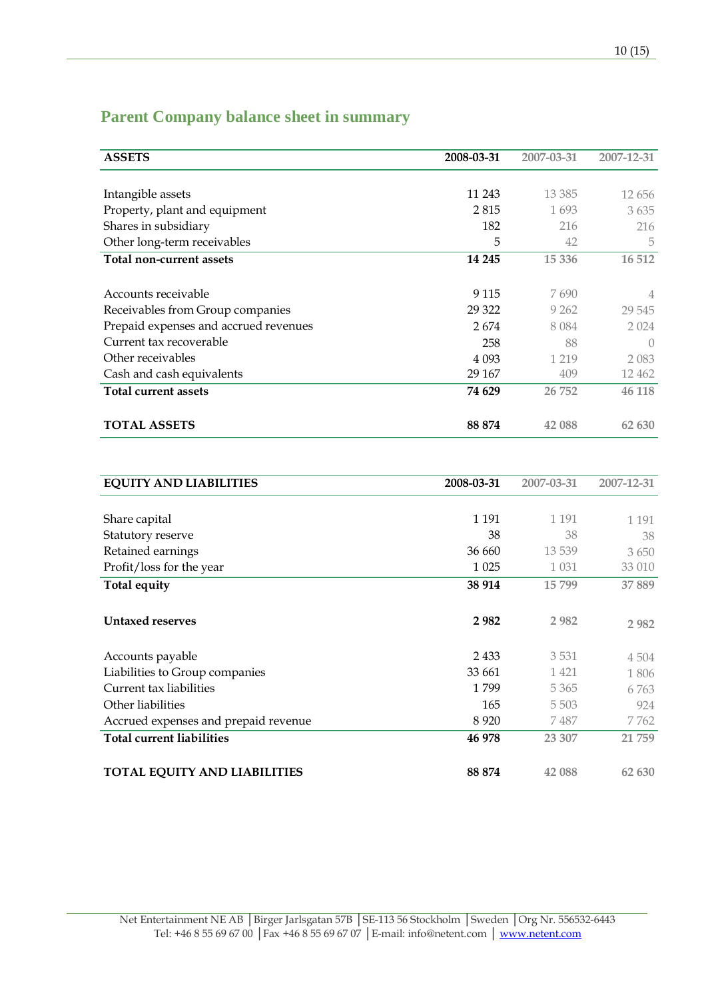## **Parent Company balance sheet in summary**

| <b>ASSETS</b>                         | 2008-03-31 | 2007-03-31 | 2007-12-31       |
|---------------------------------------|------------|------------|------------------|
|                                       |            |            |                  |
| Intangible assets                     | 11 243     | 13 3 8 5   | 12 656           |
| Property, plant and equipment         | 2815       | 1693       | 3635             |
| Shares in subsidiary                  | 182        | 216        | 216              |
| Other long-term receivables           | 5          | 42         | 5                |
| Total non-current assets              | 14 245     | 15 3 36    | 16 512           |
|                                       |            |            |                  |
| Accounts receivable                   | 9 1 1 5    | 7690       | 4                |
| Receivables from Group companies      | 29 3 22    | 9 2 6 2    | 29 545           |
| Prepaid expenses and accrued revenues | 2674       | 8 0 8 4    | 2 0 2 4          |
| Current tax recoverable               | 258        | 88         | $\left( \right)$ |
| Other receivables                     | 4 0 9 3    | 1 2 1 9    | 2 083            |
| Cash and cash equivalents             | 29 167     | 409        | 12 4 62          |
| Total current assets                  | 74 629     | 26 752     | 46 118           |
|                                       |            |            |                  |
| <b>TOTAL ASSETS</b>                   | 88 874     | 42 088     | 62 630           |

| <b>EQUITY AND LIABILITIES</b>        | 2008-03-31 | 2007-03-31 | 2007-12-31 |
|--------------------------------------|------------|------------|------------|
|                                      |            |            |            |
| Share capital                        | 1 1 9 1    | 1 1 9 1    | 1 1 9 1    |
| Statutory reserve                    | 38         | 38         | 38         |
| Retained earnings                    | 36 660     | 13 5 39    | 3 650      |
| Profit/loss for the year             | 1 0 25     | 1 0 3 1    | 33 010     |
| Total equity                         | 38 914     | 15799      | 37889      |
| <b>Untaxed reserves</b>              | 2982       | 2 9 8 2    | 2 9 8 2    |
| Accounts payable                     | 2433       | 3531       | 4 5 0 4    |
| Liabilities to Group companies       | 33 661     | 1 4 2 1    | 1806       |
| Current tax liabilities              | 1799       | 5 3 6 5    | 6 7 6 3    |
| Other liabilities                    | 165        | 5 5 0 3    | 924        |
| Accrued expenses and prepaid revenue | 8 9 2 0    | 7 487      | 7762       |
| <b>Total current liabilities</b>     | 46 978     | 23 307     | 21 759     |
| <b>TOTAL EQUITY AND LIABILITIES</b>  | 88 874     | 42 088     | 62 630     |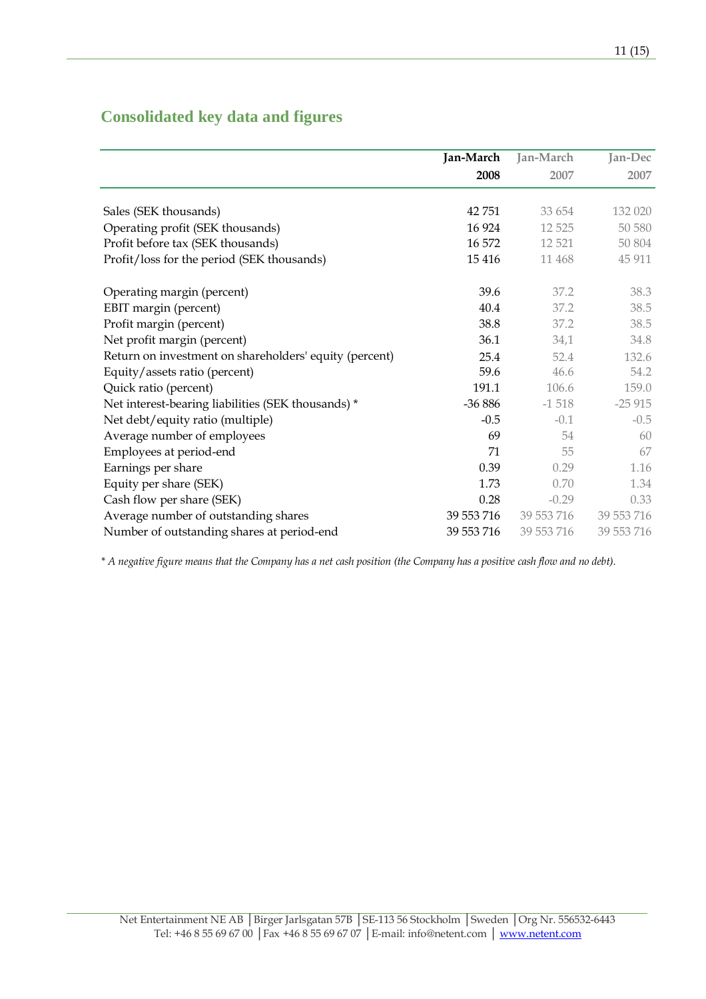|                                                        | Jan-March  | Jan-March  | Jan-Dec    |
|--------------------------------------------------------|------------|------------|------------|
|                                                        | 2008       | 2007       | 2007       |
| Sales (SEK thousands)                                  | 42 751     | 33 654     | 132 020    |
| Operating profit (SEK thousands)                       | 16 9 24    | 12 5 25    | 50 580     |
|                                                        | 16 572     | 12 5 21    | 50 804     |
| Profit before tax (SEK thousands)                      |            |            |            |
| Profit/loss for the period (SEK thousands)             | 15 4 16    | 11 4 68    | 45 911     |
| Operating margin (percent)                             | 39.6       | 37.2       | 38.3       |
| EBIT margin (percent)                                  | 40.4       | 37.2       | 38.5       |
| Profit margin (percent)                                | 38.8       | 37.2       | 38.5       |
| Net profit margin (percent)                            | 36.1       | 34,1       | 34.8       |
| Return on investment on shareholders' equity (percent) | 25.4       | 52.4       | 132.6      |
| Equity/assets ratio (percent)                          | 59.6       | 46.6       | 54.2       |
| Quick ratio (percent)                                  | 191.1      | 106.6      | 159.0      |
| Net interest-bearing liabilities (SEK thousands) *     | $-36886$   | $-1518$    | $-25915$   |
| Net debt/equity ratio (multiple)                       | $-0.5$     | $-0.1$     | $-0.5$     |
| Average number of employees                            | 69         | 54         | 60         |
| Employees at period-end                                | 71         | 55         | 67         |
| Earnings per share                                     | 0.39       | 0.29       | 1.16       |
| Equity per share (SEK)                                 | 1.73       | 0.70       | 1.34       |
| Cash flow per share (SEK)                              | 0.28       | $-0.29$    | 0.33       |
| Average number of outstanding shares                   | 39 553 716 | 39 553 716 | 39 553 716 |
| Number of outstanding shares at period-end             | 39 553 716 | 39 553 716 | 39 553 716 |

## **Consolidated key data and figures**

\* A negative figure means that the Company has a net cash position (the Company has a positive cash flow and no debt).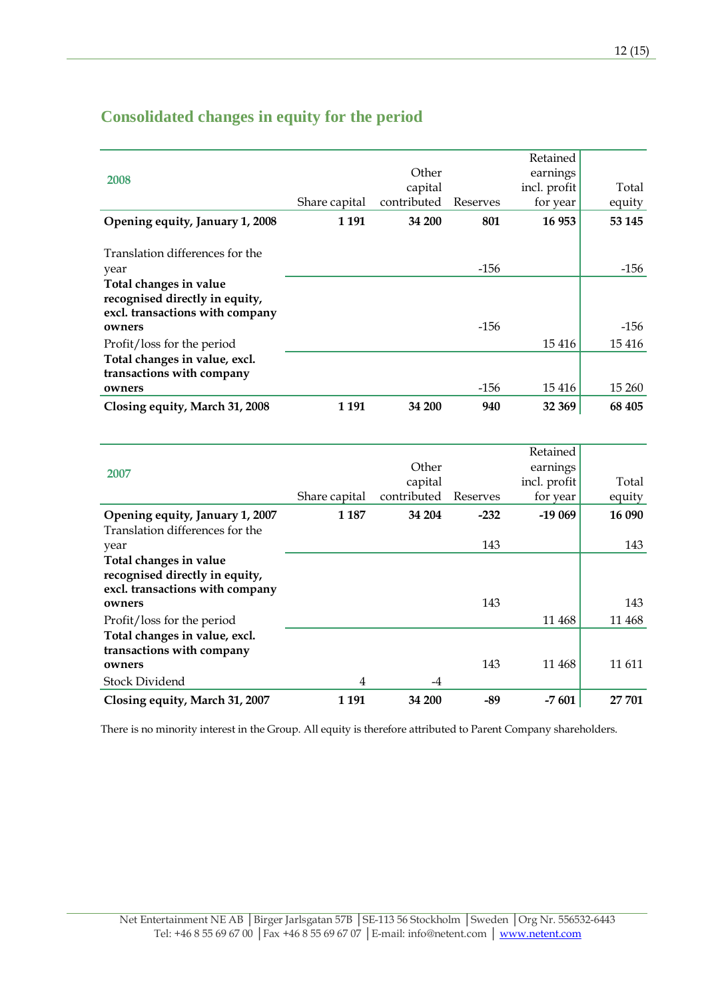|                                                                                             |               |             |          | Retained     |        |
|---------------------------------------------------------------------------------------------|---------------|-------------|----------|--------------|--------|
| 2008                                                                                        |               | Other       |          | earnings     |        |
|                                                                                             |               | capital     |          | incl. profit | Total  |
|                                                                                             | Share capital | contributed | Reserves | for year     | equity |
| Opening equity, January 1, 2008                                                             | 1 1 9 1       | 34 200      | 801      | 16 953       | 53 145 |
| Translation differences for the                                                             |               |             |          |              |        |
| year                                                                                        |               |             | $-156$   |              | -156   |
| Total changes in value<br>recognised directly in equity,<br>excl. transactions with company |               |             |          |              |        |
| owners                                                                                      |               |             | $-156$   |              | -156   |
| Profit/loss for the period                                                                  |               |             |          | 15416        | 15416  |
| Total changes in value, excl.<br>transactions with company                                  |               |             |          |              |        |
| owners                                                                                      |               |             | $-156$   | 15 4 16      | 15 260 |
| Closing equity, March 31, 2008                                                              | 1 1 9 1       | 34 200      | 940      | 32 369       | 68 405 |
|                                                                                             |               |             |          |              |        |
|                                                                                             |               |             |          | Retained     |        |
| 2007                                                                                        |               | Other       |          | earnings     |        |
|                                                                                             |               | capital     |          | incl. profit | Total  |
|                                                                                             | Share capital | contributed | Reserves | for year     | equity |
|                                                                                             |               |             |          |              |        |

| 2007                            |               | VUIT        |          | саншіgэ      |        |
|---------------------------------|---------------|-------------|----------|--------------|--------|
|                                 |               | capital     |          | incl. profit | Total  |
|                                 | Share capital | contributed | Reserves | for year     | equity |
| Opening equity, January 1, 2007 | 1 1 8 7       | 34 204      | $-232$   | $-19069$     | 16 090 |
| Translation differences for the |               |             |          |              |        |
| year                            |               |             | 143      |              | 143    |
| Total changes in value          |               |             |          |              |        |
| recognised directly in equity,  |               |             |          |              |        |
| excl. transactions with company |               |             |          |              |        |
| owners                          |               |             | 143      |              | 143    |
| Profit/loss for the period      |               |             |          | 11 4 68      | 11 468 |
| Total changes in value, excl.   |               |             |          |              |        |
| transactions with company       |               |             |          |              |        |
| owners                          |               |             | 143      | 11 4 68      | 11 611 |
| <b>Stock Dividend</b>           | 4             | -4          |          |              |        |
| Closing equity, March 31, 2007  | 1 1 9 1       | 34 200      | $-89$    | $-7601$      | 27 701 |
|                                 |               |             |          |              |        |

There is no minority interest in the Group. All equity is therefore attributed to Parent Company shareholders.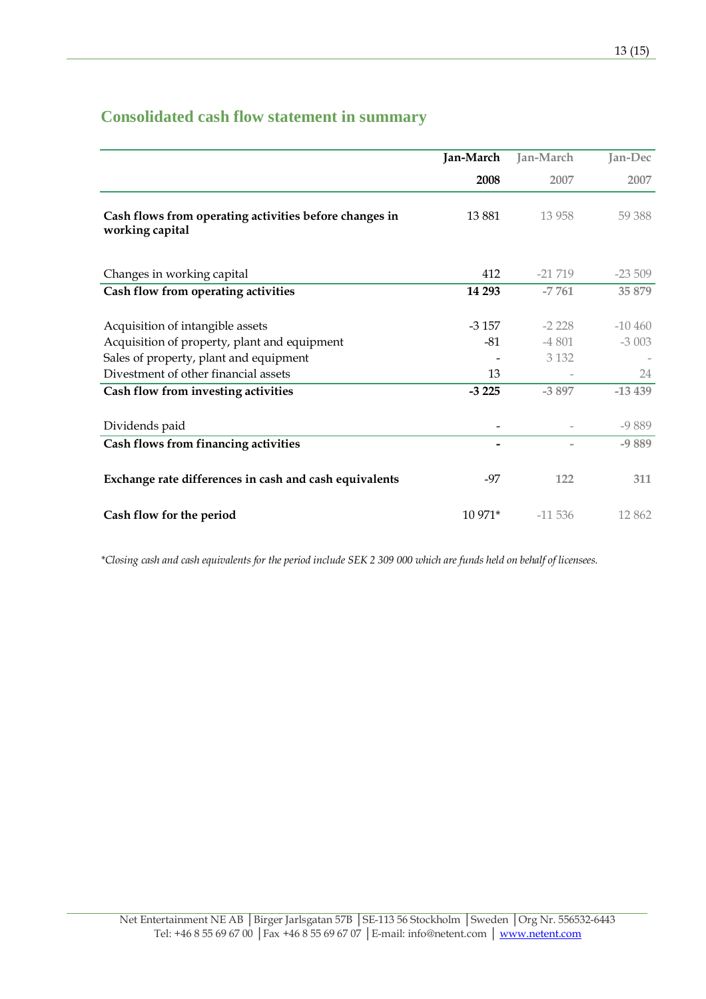# **Consolidated cash flow statement in summary**

|                                                                                                                                                                    | Jan-March              | Jan-March                     | Jan-Dec                    |
|--------------------------------------------------------------------------------------------------------------------------------------------------------------------|------------------------|-------------------------------|----------------------------|
|                                                                                                                                                                    | 2008                   | 2007                          | 2007                       |
| Cash flows from operating activities before changes in<br>working capital                                                                                          | 13881                  | 13 9 58                       | 59 388                     |
| Changes in working capital                                                                                                                                         | 412                    | $-21\,719$                    | $-23509$                   |
| Cash flow from operating activities                                                                                                                                | 14 29 3                | $-7761$                       | 35 879                     |
| Acquisition of intangible assets<br>Acquisition of property, plant and equipment<br>Sales of property, plant and equipment<br>Divestment of other financial assets | $-3157$<br>$-81$<br>13 | $-2228$<br>$-4801$<br>3 1 3 2 | $-10,460$<br>$-3003$<br>24 |
| Cash flow from investing activities                                                                                                                                | $-3225$                | $-3897$                       | $-13439$                   |
| Dividends paid                                                                                                                                                     |                        |                               | $-9889$                    |
| Cash flows from financing activities                                                                                                                               | -                      | $\overline{a}$                | $-9889$                    |
| Exchange rate differences in cash and cash equivalents                                                                                                             | -97                    | 122                           | 311                        |
| Cash flow for the period                                                                                                                                           | 10 971*                | $-11536$                      | 12862                      |

\*Closing cash and cash equivalents for the period include SEK 2 309 000 which are funds held on behalf of licensees.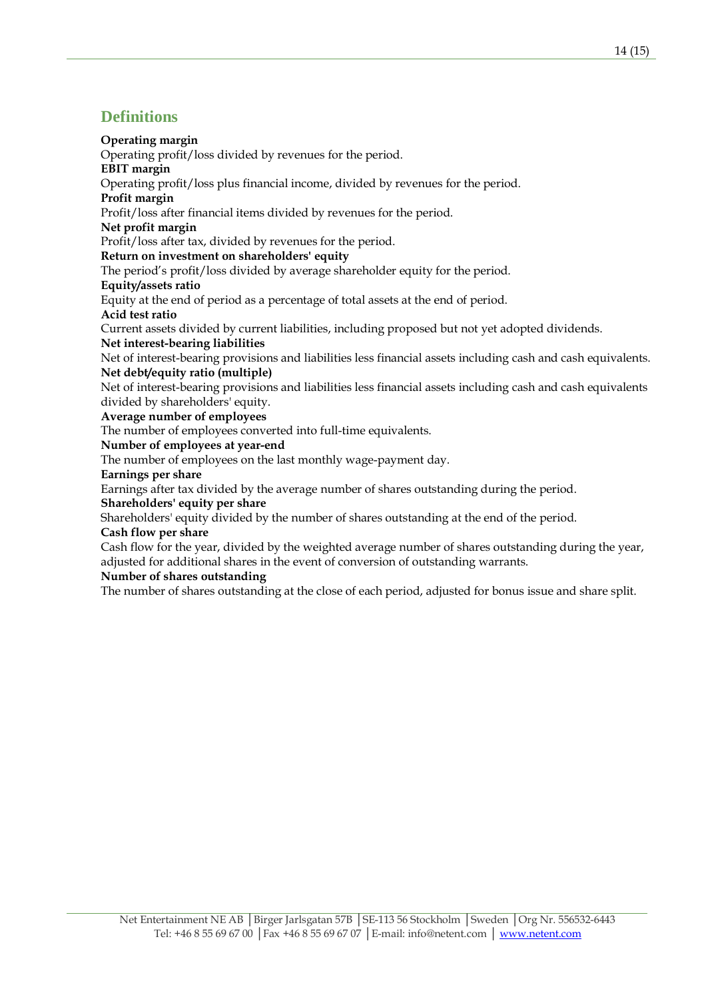## **Definitions**

### Operating margin

Operating profit/loss divided by revenues for the period.

### EBIT margin

Operating profit/loss plus financial income, divided by revenues for the period.

### Profit margin

Profit/loss after financial items divided by revenues for the period.

### Net profit margin

Profit/loss after tax, divided by revenues for the period.

### Return on investment on shareholders' equity

The period's profit/loss divided by average shareholder equity for the period.

### Equity/assets ratio

Equity at the end of period as a percentage of total assets at the end of period. Acid test ratio

Current assets divided by current liabilities, including proposed but not yet adopted dividends. Net interest-bearing liabilities

Net of interest-bearing provisions and liabilities less financial assets including cash and cash equivalents. Net debt/equity ratio (multiple)

Net of interest-bearing provisions and liabilities less financial assets including cash and cash equivalents divided by shareholders' equity.

### Average number of employees

The number of employees converted into full-time equivalents.

Number of employees at year-end

The number of employees on the last monthly wage-payment day.

### Earnings per share

Earnings after tax divided by the average number of shares outstanding during the period.

### Shareholders' equity per share

Shareholders' equity divided by the number of shares outstanding at the end of the period.

## Cash flow per share

Cash flow for the year, divided by the weighted average number of shares outstanding during the year, adjusted for additional shares in the event of conversion of outstanding warrants.

### Number of shares outstanding

The number of shares outstanding at the close of each period, adjusted for bonus issue and share split.